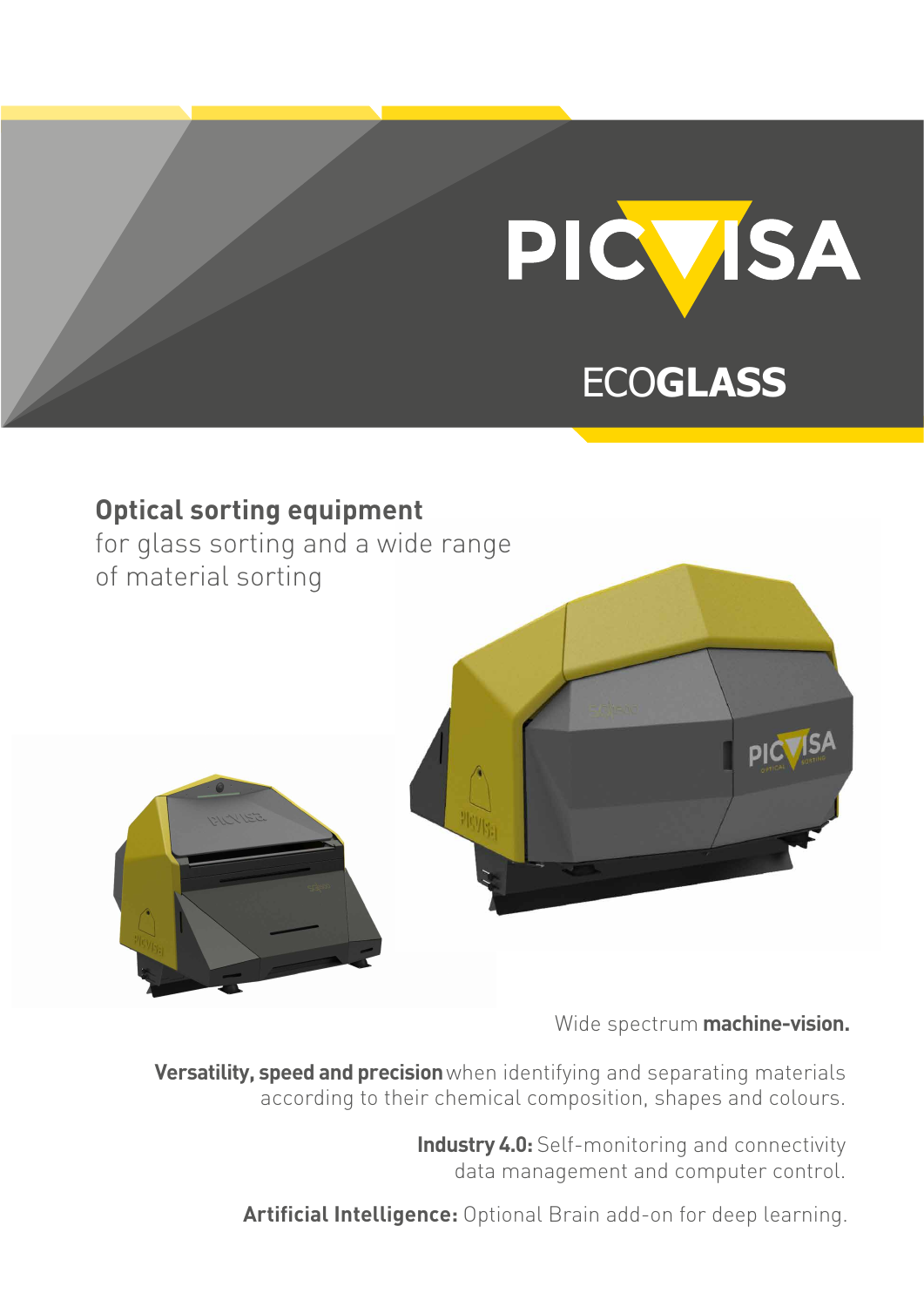

# ECO**GLASS**



# Wide spectrum **machine-vision.**

**Versatility, speed and precision**when identifying and separating materials according to their chemical composition, shapes and colours.

> **Industry 4.0:** Self-monitoring and connectivity data management and computer control.

**Artificial Intelligence:** Optional Brain add-on for deep learning.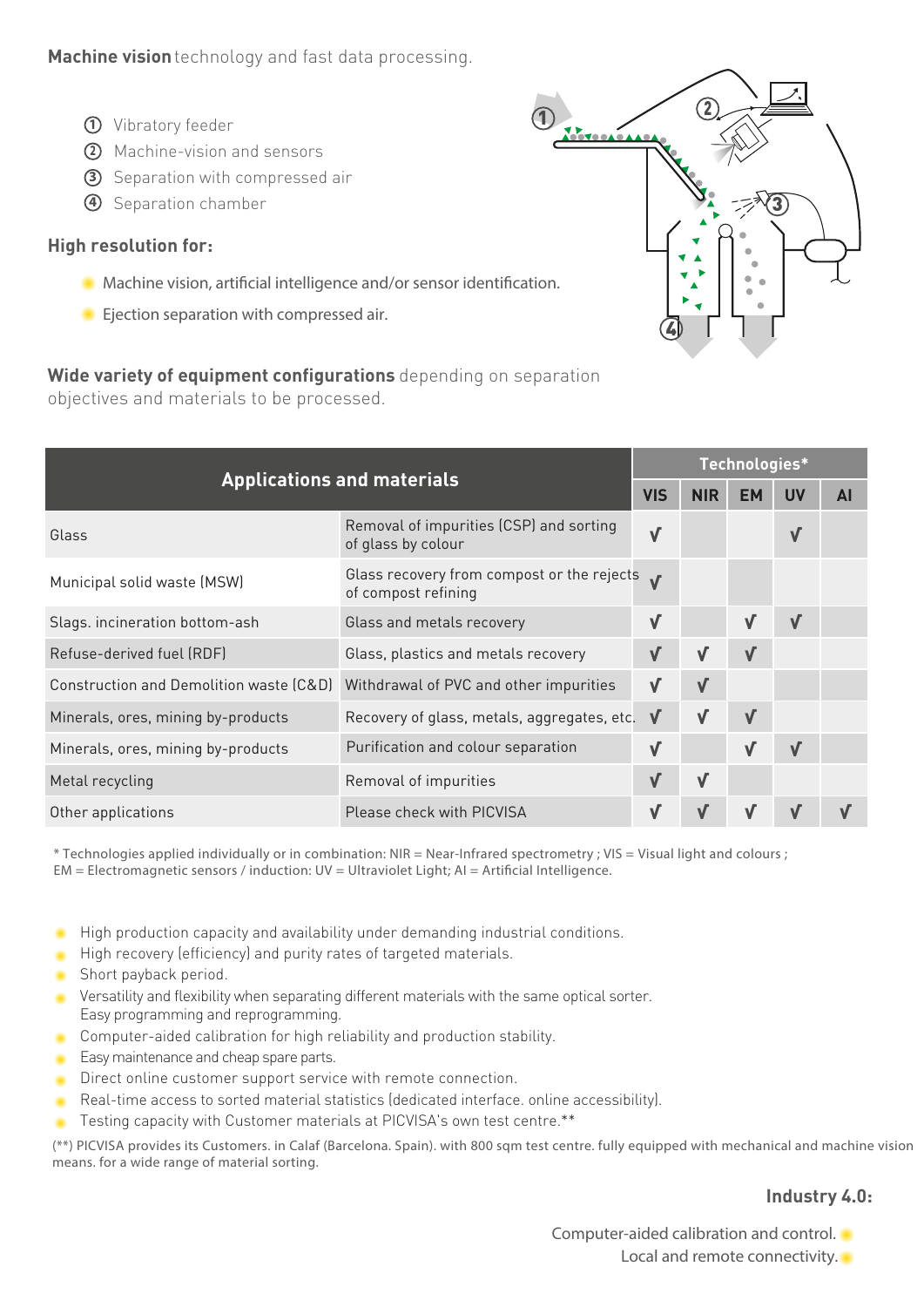### **Machine vision**technology and fast data processing.

- **1** Vibratory feeder
- **2** Machine-vision and sensors
- **3** Separation with compressed air
- **4** Separation chamber

#### **High resolution for:**

**Machine vision, artificial intelligence and/or sensor identification.** 

**Wide variety of equipment configurations** depending on separation

*Ejection separation with compressed air.*

objectives and materials to be processed.

 $\overline{1}$   $\overline{2}$ 3 4

| <b>Applications and materials</b>       |                                                                                    |              |              | Technologies* |            |           |  |  |  |  |
|-----------------------------------------|------------------------------------------------------------------------------------|--------------|--------------|---------------|------------|-----------|--|--|--|--|
|                                         |                                                                                    |              |              | <b>EM</b>     | <b>UV</b>  | <b>AI</b> |  |  |  |  |
| Glass                                   | Removal of impurities (CSP) and sorting<br>of glass by colour                      | $\sqrt{ }$   |              |               | $\sqrt{}$  |           |  |  |  |  |
| Municipal solid waste (MSW)             | Glass recovery from compost or the rejects $\boldsymbol{v}$<br>of compost refining |              |              |               |            |           |  |  |  |  |
| Slags. incineration bottom-ash          | Glass and metals recovery                                                          | $\sqrt{}$    |              | $\sqrt{}$     | $\sqrt{ }$ |           |  |  |  |  |
| Refuse-derived fuel (RDF)               | Glass, plastics and metals recovery                                                |              | V            | $\sqrt{}$     |            |           |  |  |  |  |
| Construction and Demolition waste (C&D) | Withdrawal of PVC and other impurities                                             | $\checkmark$ | V            |               |            |           |  |  |  |  |
| Minerals, ores, mining by-products      | Recovery of glass, metals, aggregates, etc.                                        | $\sqrt{ }$   | $\checkmark$ | $\sqrt{}$     |            |           |  |  |  |  |
| Minerals, ores, mining by-products      | Purification and colour separation                                                 | $\sqrt{}$    |              | $\checkmark$  | $\sqrt{ }$ |           |  |  |  |  |
| Metal recycling                         | Removal of impurities                                                              |              | $\sqrt{}$    |               |            |           |  |  |  |  |
| Other applications                      | Please check with PICVISA                                                          |              |              | V             | $\sqrt{ }$ |           |  |  |  |  |

\* Technologies applied individually or in combination: NIR = Near-Infrared spectrometry ; VIS = Visual light and colours ;  $EM = Electromagnetic sensors / induction: UV = Ultraviolet Light; AI = Artificial Intelligence.$ 

- High production capacity and availability under demanding industrial conditions.
- High recovery (efficiency) and purity rates of targeted materials.
- Short payback period.
- Versatility and flexibility when separating different materials with the same optical sorter. Easy programming and reprogramming.
- **Computer-aided calibration for high reliability and production stability.**
- Easy maintenance and cheap spare parts.
- Direct online customer support service with remote connection.
- Real-time access to sorted material statistics (dedicated interface. online accessibility).
- Testing capacity with Customer materials at PICVISA's own test centre.\*\*

(\*\*) PICVISA provides its Customers. in Calaf (Barcelona. Spain). with 800 sqm test centre. fully equipped with mechanical and machine vision means. for a wide range of material sorting.

#### **Industry 4.0:**

*Computer-aided calibration and control.* 

*Local and remote connectivity.*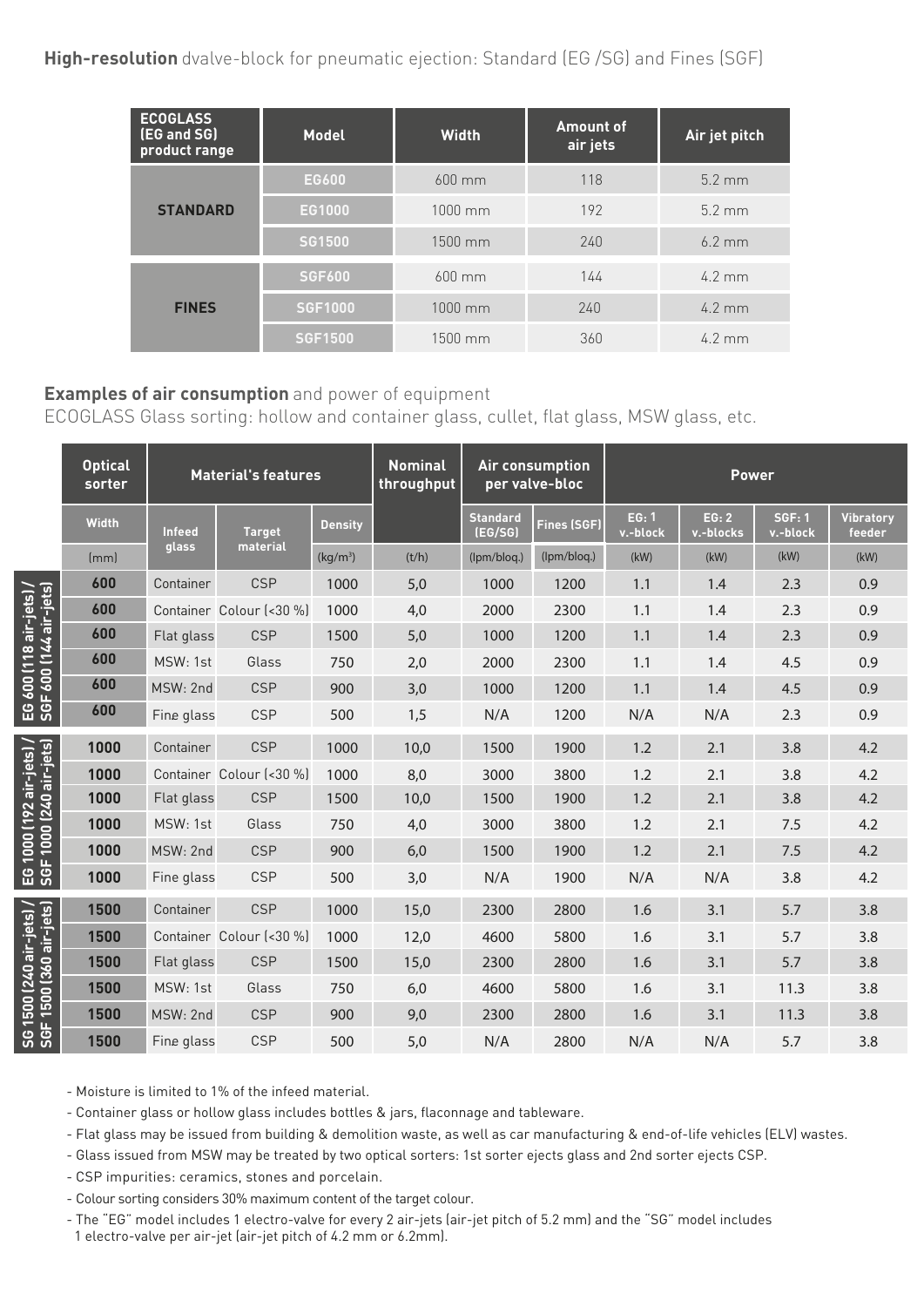| <b>ECOGLASS</b><br>(EG and SG)<br>product range | <b>Model</b>   | <b>Width</b>      | <b>Amount of</b><br>air jets | Air jet pitch    |  |
|-------------------------------------------------|----------------|-------------------|------------------------------|------------------|--|
|                                                 | <b>EG600</b>   | $600$ mm          | 118                          | $5.2 \text{ mm}$ |  |
| <b>STANDARD</b>                                 | EG1000         | $1000 \text{ mm}$ | 192                          | $5.2 \text{ mm}$ |  |
|                                                 | <b>SG1500</b>  | 1500 mm           | 240                          | $6.2 \text{ mm}$ |  |
|                                                 | <b>SGF600</b>  | $600$ mm          | 144                          | $4.2 \text{ mm}$ |  |
| <b>FINES</b>                                    | <b>SGF1000</b> | $1000$ mm         | 240                          | $4.2 \text{ mm}$ |  |
|                                                 | <b>SGF1500</b> | $1500$ mm         | 360                          | $4.2 \text{ mm}$ |  |

## **Examples of air consumption** and power of equipment

ECOGLASS Glass sorting: hollow and container glass, cullet, flat glass, MSW glass, etc.

|                                                                 | <b>Optical</b><br>sorter | <b>Material's features</b> |                          |                      | <b>Nominal</b><br><b>Air consumption</b><br>throughput<br>per valve-bloc |                            |             | <b>Power</b>      |                    |                           |                            |  |
|-----------------------------------------------------------------|--------------------------|----------------------------|--------------------------|----------------------|--------------------------------------------------------------------------|----------------------------|-------------|-------------------|--------------------|---------------------------|----------------------------|--|
|                                                                 | <b>Width</b>             | <b>Infeed</b>              | <b>Target</b>            | <b>Density</b>       |                                                                          | <b>Standard</b><br>(EG/SG) | Fines (SGF) | EG: 1<br>v.-block | EG: 2<br>v.-blocks | <b>SGF: 1</b><br>v.-block | <b>Vibratory</b><br>feeder |  |
|                                                                 | [mm]                     | glass                      | material                 | (kq/m <sup>3</sup> ) | (t/h)                                                                    | (Ipm/blog.)                | (Ipm/bloq.) | (kW)              | (kW)               | (kW)                      | (kW)                       |  |
| EG 600 (118 air-jets) /<br>SGF 600 (144 air-jets)               | 600                      | Container                  | <b>CSP</b>               | 1000                 | 5,0                                                                      | 1000                       | 1200        | 1.1               | 1.4                | 2.3                       | 0.9                        |  |
|                                                                 | 600                      |                            | Container Colour (<30 %) | 1000                 | 4,0                                                                      | 2000                       | 2300        | 1.1               | 1.4                | 2.3                       | 0.9                        |  |
|                                                                 | 600                      | Flat glass                 | <b>CSP</b>               | 1500                 | 5,0                                                                      | 1000                       | 1200        | 1.1               | 1.4                | 2.3                       | 0.9                        |  |
|                                                                 | 600                      | MSW: 1st                   | Glass                    | 750                  | 2,0                                                                      | 2000                       | 2300        | 1.1               | 1.4                | 4.5                       | 0.9                        |  |
|                                                                 | 600                      | MSW: 2nd                   | <b>CSP</b>               | 900                  | 3,0                                                                      | 1000                       | 1200        | 1.1               | 1.4                | 4.5                       | 0.9                        |  |
|                                                                 | 600                      | Fine glass                 | <b>CSP</b>               | 500                  | 1,5                                                                      | N/A                        | 1200        | N/A               | N/A                | 2.3                       | 0.9                        |  |
| 1000 (240 air-jets)<br>1000 (192 air-jets)<br>EG 1<br>SGF       | 1000                     | Container                  | <b>CSP</b>               | 1000                 | 10,0                                                                     | 1500                       | 1900        | 1.2               | 2.1                | 3.8                       | 4.2                        |  |
|                                                                 | 1000                     |                            | Container Colour (<30 %) | 1000                 | 8,0                                                                      | 3000                       | 3800        | 1.2               | 2.1                | 3.8                       | 4.2                        |  |
|                                                                 | 1000                     | Flat glass                 | <b>CSP</b>               | 1500                 | 10,0                                                                     | 1500                       | 1900        | 1.2               | 2.1                | 3.8                       | 4.2                        |  |
|                                                                 | 1000                     | MSW: 1st                   | Glass                    | 750                  | 4,0                                                                      | 3000                       | 3800        | 1.2               | 2.1                | 7.5                       | 4.2                        |  |
|                                                                 | 1000                     | MSW: 2nd                   | <b>CSP</b>               | 900                  | 6,0                                                                      | 1500                       | 1900        | 1.2               | 2.1                | 7.5                       | 4.2                        |  |
|                                                                 | 1000                     | Fine glass                 | <b>CSP</b>               | 500                  | 3,0                                                                      | N/A                        | 1900        | N/A               | N/A                | 3.8                       | 4.2                        |  |
| 1500 (240 air-jets) /<br>F 1500 (360 air-jets)<br>L.<br>မ္ဟ မ္ဟ | 1500                     | Container                  | <b>CSP</b>               | 1000                 | 15,0                                                                     | 2300                       | 2800        | 1.6               | 3.1                | 5.7                       | 3.8                        |  |
|                                                                 | 1500                     |                            | Container Colour (<30 %) | 1000                 | 12,0                                                                     | 4600                       | 5800        | 1.6               | 3.1                | 5.7                       | 3.8                        |  |
|                                                                 | 1500                     | Flat glass                 | <b>CSP</b>               | 1500                 | 15,0                                                                     | 2300                       | 2800        | 1.6               | 3.1                | 5.7                       | 3.8                        |  |
|                                                                 | 1500                     | MSW: 1st                   | Glass                    | 750                  | 6,0                                                                      | 4600                       | 5800        | 1.6               | 3.1                | 11.3                      | 3.8                        |  |
|                                                                 | 1500                     | MSW: 2nd                   | <b>CSP</b>               | 900                  | 9,0                                                                      | 2300                       | 2800        | 1.6               | 3.1                | 11.3                      | 3.8                        |  |
|                                                                 | 1500                     | Fine glass                 | <b>CSP</b>               | 500                  | 5,0                                                                      | N/A                        | 2800        | N/A               | N/A                | 5.7                       | 3.8                        |  |

- Moisture is limited to 1% of the infeed material.

- Container glass or hollow glass includes bottles & jars, flaconnage and tableware.

- Flat glass may be issued from building & demolition waste, as well as car manufacturing & end-of-life vehicles (ELV) wastes.

- Glass issued from MSW may be treated by two optical sorters: 1st sorter ejects glass and 2nd sorter ejects CSP.

- CSP impurities: ceramics, stones and porcelain.

- Colour sorting considers 30% maximum content of the target colour.

- The "EG" model includes 1 electro-valve for every 2 air-jets (air-jet pitch of 5.2 mm) and the "SG" model includes

1 electro-valve per air-jet (air-jet pitch of 4.2 mm or 6.2mm).